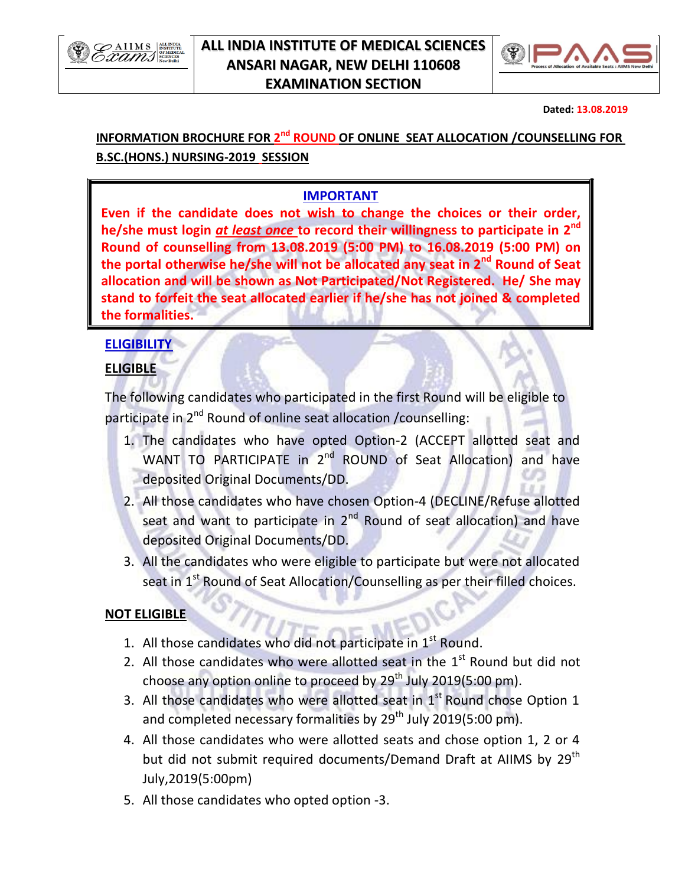

### **ALL INDIA INSTITUTE OF MEDICAL SCIENCES ANSARI NAGAR, NEW DELHI 110608 EXAMINATION SECTION**



 **Dated: 13.08.2019**

# INFORMATION BROCHURE FOR 2<sup>nd</sup> ROUND OF ONLINE SEAT ALLOCATION /COUNSELLING FOR **B.SC.(HONS.) NURSING-2019 SESSION**

## **IMPORTANT**

**Even if the candidate does not wish to change the choices or their order, he/she must login** *at least once* **to record their willingness to participate in 2 nd Round of counselling from 13.08.2019 (5:00 PM) to 16.08.2019 (5:00 PM) on the portal otherwise he/she will not be allocated any seat in 2nd Round of Seat allocation and will be shown as Not Participated/Not Registered. He/ She may stand to forfeit the seat allocated earlier if he/she has not joined & completed the formalities.**

## **ELIGIBILITY**

#### **ELIGIBLE**

The following candidates who participated in the first Round will be eligible to participate in 2<sup>nd</sup> Round of online seat allocation /counselling:

- 1. The candidates who have opted Option-2 (ACCEPT allotted seat and WANT TO PARTICIPATE in 2<sup>nd</sup> ROUND of Seat Allocation) and have deposited Original Documents/DD.
- 2. All those candidates who have chosen Option-4 (DECLINE/Refuse allotted seat and want to participate in 2<sup>nd</sup> Round of seat allocation) and have deposited Original Documents/DD.
- 3. All the candidates who were eligible to participate but were not allocated seat in 1<sup>st</sup> Round of Seat Allocation/Counselling as per their filled choices.

#### **NOT ELIGIBLE**

- 1. All those candidates who did not participate in 1<sup>st</sup> Round.
- 2. All those candidates who were allotted seat in the  $1<sup>st</sup>$  Round but did not choose any option online to proceed by 29<sup>th</sup> July 2019(5:00 pm).
- 3. All those candidates who were allotted seat in  $1<sup>st</sup>$  Round chose Option 1 and completed necessary formalities by 29<sup>th</sup> July 2019(5:00 pm).
- 4. All those candidates who were allotted seats and chose option 1, 2 or 4 but did not submit required documents/Demand Draft at AIIMS by 29<sup>th</sup> July,2019(5:00pm)
- 5. All those candidates who opted option -3.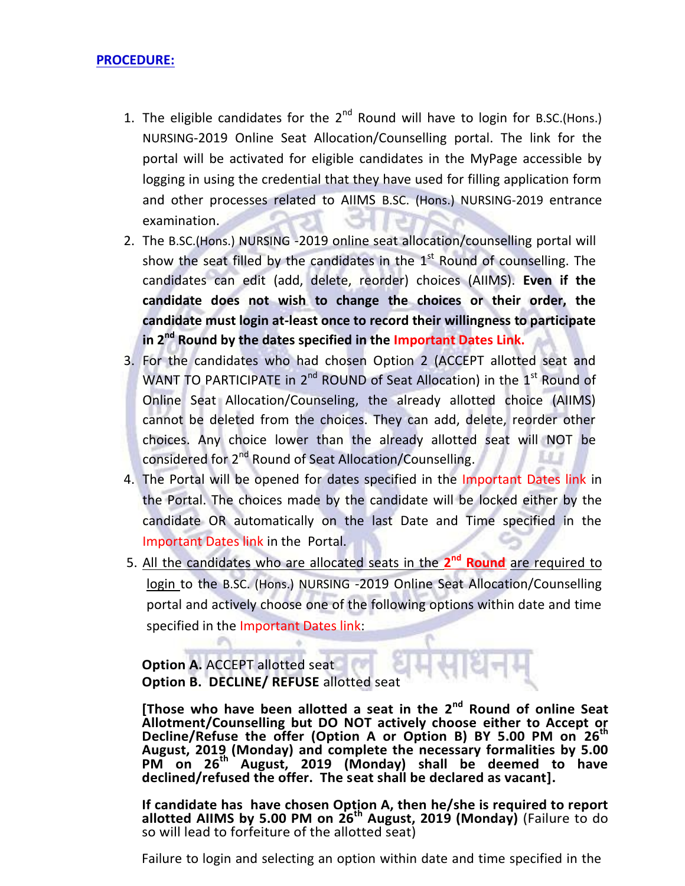#### **PROCEDURE:**

- 1. The eligible candidates for the  $2^{nd}$  Round will have to login for B.SC.(Hons.) NURSING-2019 Online Seat Allocation/Counselling portal. The link for the portal will be activated for eligible candidates in the MyPage accessible by logging in using the credential that they have used for filling application form and other processes related to AIIMS B.SC. (Hons.) NURSING-2019 entrance examination.
- 2. The B.SC.(Hons.) NURSING -2019 online seat allocation/counselling portal will show the seat filled by the candidates in the 1<sup>st</sup> Round of counselling. The candidates can edit (add, delete, reorder) choices (AIIMS). **Even if the candidate does not wish to change the choices or their order, the candidate must login at-least once to record their willingness to participate**  in 2<sup>nd</sup> Round by the dates specified in the Important Dates Link.
- 3. For the candidates who had chosen Option 2 (ACCEPT allotted seat and WANT TO PARTICIPATE in 2<sup>nd</sup> ROUND of Seat Allocation) in the 1<sup>st</sup> Round of Online Seat Allocation/Counseling, the already allotted choice (AIIMS) cannot be deleted from the choices. They can add, delete, reorder other choices. Any choice lower than the already allotted seat will NOT be considered for 2<sup>nd</sup> Round of Seat Allocation/Counselling.
- 4. The Portal will be opened for dates specified in the Important Dates link in the Portal. The choices made by the candidate will be locked either by the candidate OR automatically on the last Date and Time specified in the Important Dates link in the Portal.
- 5. All the candidates who are allocated seats in the 2<sup>nd</sup> Round are required to login to the B.SC. (Hons.) NURSING -2019 Online Seat Allocation/Counselling portal and actively choose one of the following options within date and time specified in the Important Dates link:

**Option A. ACCEPT allotted seat Option B. DECLINE/ REFUSE** allotted seat

[Those who have been allotted a seat in the 2<sup>nd</sup> Round of online Seat **Allotment/Counselling but DO NOT actively choose either to Accept or Decline/Refuse the offer (Option A or Option B) BY 5.00 PM on 26 th August, 2019 (Monday) and complete the necessary formalities by 5.00 PM on 26 th August, 2019 (Monday) shall be deemed to have declined/refused the offer. The seat shall be declared as vacant].**

**If candidate has have chosen Option A, then he/she is required to report allotted AIIMS by 5.00 PM on 26 th August, 2019 (Monday)** (Failure to do so will lead to forfeiture of the allotted seat)

Failure to login and selecting an option within date and time specified in the